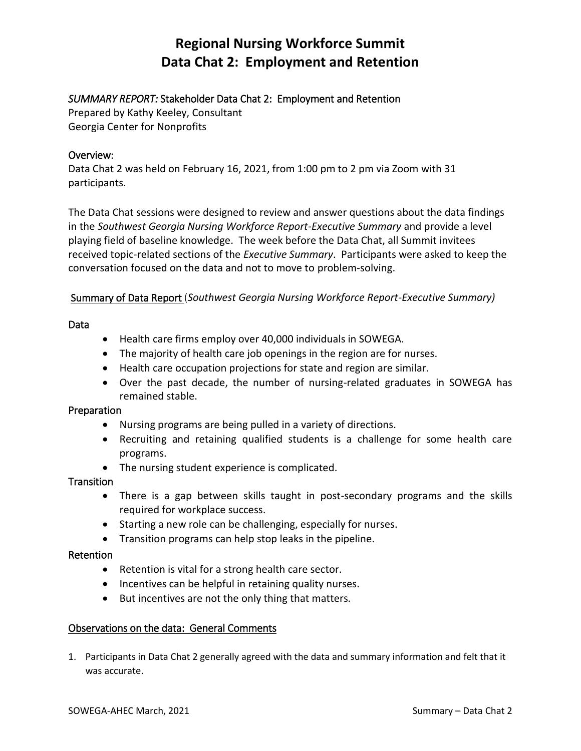### **Regional Nursing Workforce Summit Data Chat 2: Employment and Retention**

### *SUMMARY REPORT:* Stakeholder Data Chat 2: Employment and Retention

Prepared by Kathy Keeley, Consultant Georgia Center for Nonprofits

### Overview:

Data Chat 2 was held on February 16, 2021, from 1:00 pm to 2 pm via Zoom with 31 participants.

The Data Chat sessions were designed to review and answer questions about the data findings in the *Southwest Georgia Nursing Workforce Report-Executive Summary* and provide a level playing field of baseline knowledge. The week before the Data Chat, all Summit invitees received topic-related sections of the *Executive Summary*. Participants were asked to keep the conversation focused on the data and not to move to problem-solving.

Summary of Data Report (*Southwest Georgia Nursing Workforce Report-Executive Summary)*

#### Data

- Health care firms employ over 40,000 individuals in SOWEGA.
- The majority of health care job openings in the region are for nurses.
- Health care occupation projections for state and region are similar.
- Over the past decade, the number of nursing-related graduates in SOWEGA has remained stable.

#### Preparation

- Nursing programs are being pulled in a variety of directions.
- Recruiting and retaining qualified students is a challenge for some health care programs.
- The nursing student experience is complicated.

#### **Transition**

- There is a gap between skills taught in post-secondary programs and the skills required for workplace success.
- Starting a new role can be challenging, especially for nurses.
- Transition programs can help stop leaks in the pipeline.

#### Retention

- Retention is vital for a strong health care sector.
- Incentives can be helpful in retaining quality nurses.
- But incentives are not the only thing that matters.

#### Observations on the data: General Comments

1. Participants in Data Chat 2 generally agreed with the data and summary information and felt that it was accurate.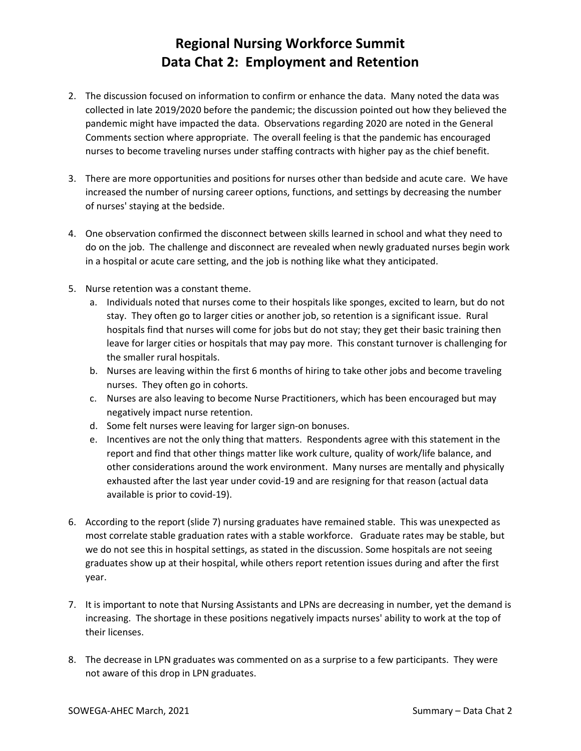# **Regional Nursing Workforce Summit Data Chat 2: Employment and Retention**

- 2. The discussion focused on information to confirm or enhance the data. Many noted the data was collected in late 2019/2020 before the pandemic; the discussion pointed out how they believed the pandemic might have impacted the data. Observations regarding 2020 are noted in the General Comments section where appropriate. The overall feeling is that the pandemic has encouraged nurses to become traveling nurses under staffing contracts with higher pay as the chief benefit.
- 3. There are more opportunities and positions for nurses other than bedside and acute care. We have increased the number of nursing career options, functions, and settings by decreasing the number of nurses' staying at the bedside.
- 4. One observation confirmed the disconnect between skills learned in school and what they need to do on the job. The challenge and disconnect are revealed when newly graduated nurses begin work in a hospital or acute care setting, and the job is nothing like what they anticipated.
- 5. Nurse retention was a constant theme.
	- a. Individuals noted that nurses come to their hospitals like sponges, excited to learn, but do not stay. They often go to larger cities or another job, so retention is a significant issue. Rural hospitals find that nurses will come for jobs but do not stay; they get their basic training then leave for larger cities or hospitals that may pay more. This constant turnover is challenging for the smaller rural hospitals.
	- b. Nurses are leaving within the first 6 months of hiring to take other jobs and become traveling nurses. They often go in cohorts.
	- c. Nurses are also leaving to become Nurse Practitioners, which has been encouraged but may negatively impact nurse retention.
	- d. Some felt nurses were leaving for larger sign-on bonuses.
	- e. Incentives are not the only thing that matters. Respondents agree with this statement in the report and find that other things matter like work culture, quality of work/life balance, and other considerations around the work environment. Many nurses are mentally and physically exhausted after the last year under covid-19 and are resigning for that reason (actual data available is prior to covid-19).
- 6. According to the report (slide 7) nursing graduates have remained stable. This was unexpected as most correlate stable graduation rates with a stable workforce. Graduate rates may be stable, but we do not see this in hospital settings, as stated in the discussion. Some hospitals are not seeing graduates show up at their hospital, while others report retention issues during and after the first year.
- 7. It is important to note that Nursing Assistants and LPNs are decreasing in number, yet the demand is increasing. The shortage in these positions negatively impacts nurses' ability to work at the top of their licenses.
- 8. The decrease in LPN graduates was commented on as a surprise to a few participants. They were not aware of this drop in LPN graduates.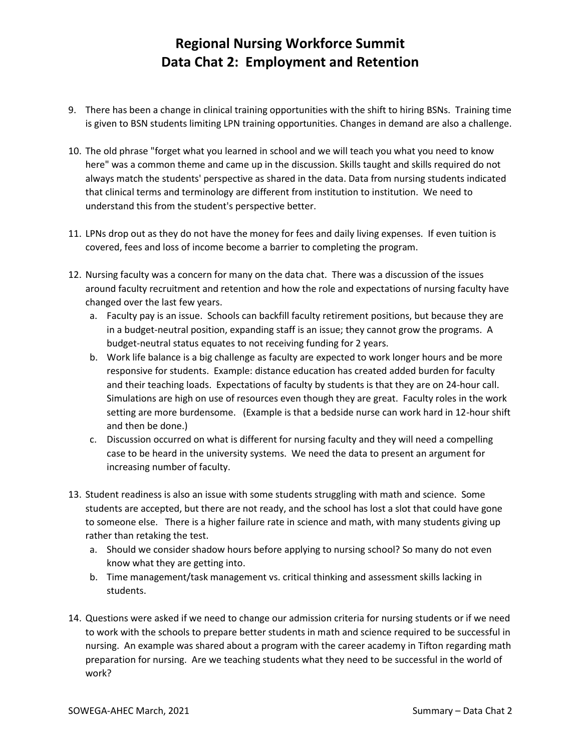# **Regional Nursing Workforce Summit Data Chat 2: Employment and Retention**

- 9. There has been a change in clinical training opportunities with the shift to hiring BSNs. Training time is given to BSN students limiting LPN training opportunities. Changes in demand are also a challenge.
- 10. The old phrase "forget what you learned in school and we will teach you what you need to know here" was a common theme and came up in the discussion. Skills taught and skills required do not always match the students' perspective as shared in the data. Data from nursing students indicated that clinical terms and terminology are different from institution to institution. We need to understand this from the student's perspective better.
- 11. LPNs drop out as they do not have the money for fees and daily living expenses. If even tuition is covered, fees and loss of income become a barrier to completing the program.
- 12. Nursing faculty was a concern for many on the data chat. There was a discussion of the issues around faculty recruitment and retention and how the role and expectations of nursing faculty have changed over the last few years.
	- a. Faculty pay is an issue. Schools can backfill faculty retirement positions, but because they are in a budget-neutral position, expanding staff is an issue; they cannot grow the programs. A budget-neutral status equates to not receiving funding for 2 years.
	- b. Work life balance is a big challenge as faculty are expected to work longer hours and be more responsive for students. Example: distance education has created added burden for faculty and their teaching loads. Expectations of faculty by students is that they are on 24-hour call. Simulations are high on use of resources even though they are great. Faculty roles in the work setting are more burdensome. (Example is that a bedside nurse can work hard in 12-hour shift and then be done.)
	- c. Discussion occurred on what is different for nursing faculty and they will need a compelling case to be heard in the university systems. We need the data to present an argument for increasing number of faculty.
- 13. Student readiness is also an issue with some students struggling with math and science. Some students are accepted, but there are not ready, and the school has lost a slot that could have gone to someone else. There is a higher failure rate in science and math, with many students giving up rather than retaking the test.
	- a. Should we consider shadow hours before applying to nursing school? So many do not even know what they are getting into.
	- b. Time management/task management vs. critical thinking and assessment skills lacking in students.
- 14. Questions were asked if we need to change our admission criteria for nursing students or if we need to work with the schools to prepare better students in math and science required to be successful in nursing. An example was shared about a program with the career academy in Tifton regarding math preparation for nursing. Are we teaching students what they need to be successful in the world of work?